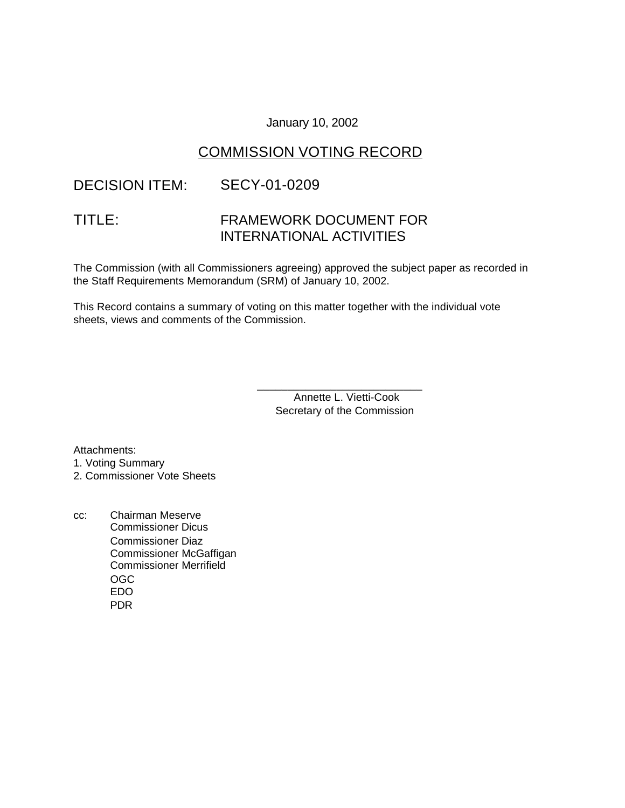### January 10, 2002

## COMMISSION VOTING RECORD

# DECISION ITEM: SECY-01-0209

# TITLE: FRAMEWORK DOCUMENT FOR INTERNATIONAL ACTIVITIES

The Commission (with all Commissioners agreeing) approved the subject paper as recorded in the Staff Requirements Memorandum (SRM) of January 10, 2002.

This Record contains a summary of voting on this matter together with the individual vote sheets, views and comments of the Commission.

> \_\_\_\_\_\_\_\_\_\_\_\_\_\_\_\_\_\_\_\_\_\_\_\_\_\_\_ Annette L. Vietti-Cook Secretary of the Commission

Attachments: 1. Voting Summary 2. Commissioner Vote Sheets

cc: Chairman Meserve Commissioner Dicus Commissioner Diaz Commissioner McGaffigan Commissioner Merrifield OGC EDO PDR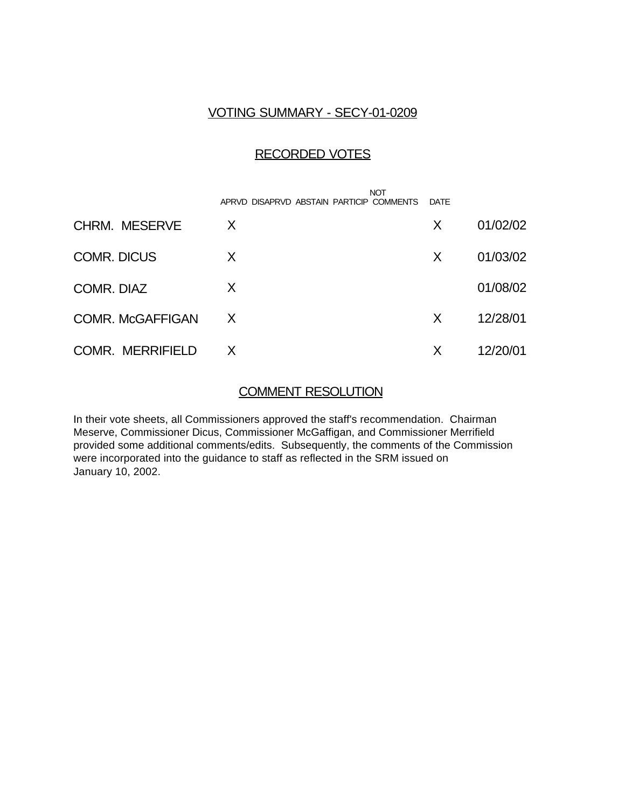## VOTING SUMMARY - SECY-01-0209

### RECORDED VOTES

|                         | <b>NOT</b><br>APRVD DISAPRVD ABSTAIN PARTICIP COMMENTS | <b>DATE</b> |          |
|-------------------------|--------------------------------------------------------|-------------|----------|
| <b>CHRM. MESERVE</b>    | X                                                      | X           | 01/02/02 |
| <b>COMR. DICUS</b>      | X                                                      | X           | 01/03/02 |
| COMR. DIAZ              | X                                                      |             | 01/08/02 |
| <b>COMR. McGAFFIGAN</b> | X                                                      | X           | 12/28/01 |
| <b>COMR. MERRIFIELD</b> | X.                                                     | X           | 12/20/01 |

## COMMENT RESOLUTION

In their vote sheets, all Commissioners approved the staff's recommendation. Chairman Meserve, Commissioner Dicus, Commissioner McGaffigan, and Commissioner Merrifield provided some additional comments/edits. Subsequently, the comments of the Commission were incorporated into the guidance to staff as reflected in the SRM issued on January 10, 2002.